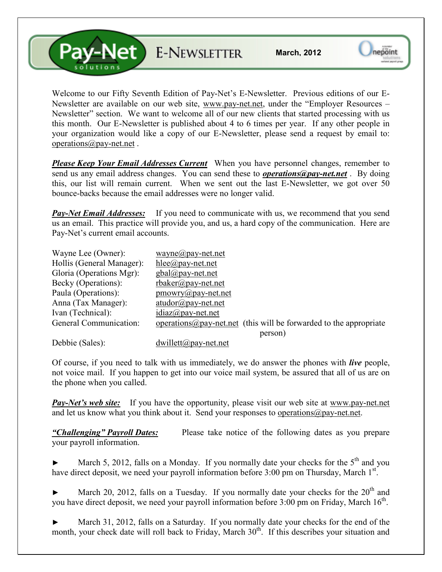**Pay-Net** E-NEWSLETTER

Welcome to our Fifty Seventh Edition of Pay-Net's E-Newsletter. Previous editions of our E-Newsletter are available on our web site, www.pay-net.net, under the "Employer Resources – Newsletter" section. We want to welcome all of our new clients that started processing with us this month. Our E-Newsletter is published about 4 to 6 times per year. If any other people in your organization would like a copy of our E-Newsletter, please send a request by email to: operations@pay-net.net .

*Please Keep Your Email Addresses Current* When you have personnel changes, remember to send us any email address changes. You can send these to *operations@pay-net.net* . By doing this, our list will remain current. When we sent out the last E-Newsletter, we got over 50 bounce-backs because the email addresses were no longer valid.

*Pay-Net Email Addresses:* If you need to communicate with us, we recommend that you send us an email. This practice will provide you, and us, a hard copy of the communication. Here are Pay-Net's current email accounts.

| Wayne Lee (Owner):        | $wayne@pay-net.net$                                                        |
|---------------------------|----------------------------------------------------------------------------|
| Hollis (General Manager): | $hlee(\partial p$ ay-net.net                                               |
| Gloria (Operations Mgr):  | $gbal(\partial \rho)$ ay-net.net                                           |
| Becky (Operations):       | $r$ baker@pay-net.net                                                      |
| Paula (Operations):       | $\text{pmowry}(a)$ pay-net.net                                             |
| Anna (Tax Manager):       | $atudor@pay-net.net$                                                       |
| Ivan (Technical):         | $idiaz(\omega)$ pay-net.net                                                |
| General Communication:    | operations $\omega$ pay-net net (this will be forwarded to the appropriate |
|                           | person)                                                                    |
| $T_1$ 11 $(0, 1)$         | $1 \quad 11 \quad \ldots \quad \cap$                                       |

Debbie (Sales): dwillett@pay-net.net

Of course, if you need to talk with us immediately, we do answer the phones with *live* people, not voice mail. If you happen to get into our voice mail system, be assured that all of us are on the phone when you called.

*Pay-Net's web site:* If you have the opportunity, please visit our web site at www.pay-net.net and let us know what you think about it. Send your responses to operations@pay-net.net.

*"Challenging" Payroll Dates:* Please take notice of the following dates as you prepare your payroll information.

March 5, 2012, falls on a Monday. If you normally date your checks for the  $5<sup>th</sup>$  and you have direct deposit, we need your payroll information before 3:00 pm on Thursday, March 1<sup>st</sup>.

March 20, 2012, falls on a Tuesday. If you normally date your checks for the  $20<sup>th</sup>$  and you have direct deposit, we need your payroll information before  $3:00$  pm on Friday, March  $16<sup>th</sup>$ .

March 31, 2012, falls on a Saturday. If you normally date your checks for the end of the month, your check date will roll back to Friday, March 30<sup>th</sup>. If this describes your situation and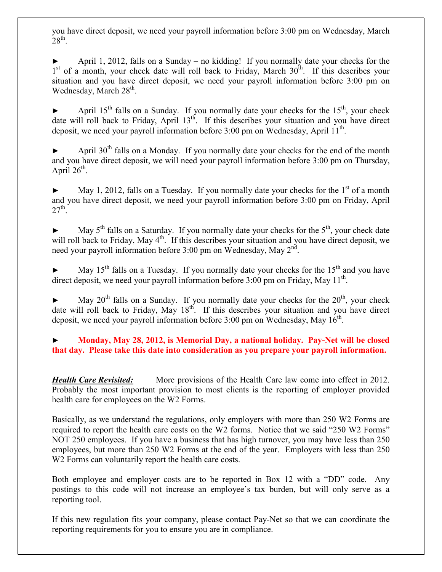you have direct deposit, we need your payroll information before 3:00 pm on Wednesday, March  $28^{\text{th}}$ .

April 1, 2012, falls on a Sunday – no kidding! If you normally date your checks for the 1<sup>st</sup> of a month, your check date will roll back to Friday, March 30<sup>th</sup>. If this describes your situation and you have direct deposit, we need your payroll information before 3:00 pm on Wednesday, March 28<sup>th</sup>.

April 15<sup>th</sup> falls on a Sunday. If you normally date your checks for the  $15<sup>th</sup>$ , your check date will roll back to Friday, April  $13<sup>th</sup>$ . If this describes your situation and you have direct deposit, we need your payroll information before  $3:00$  pm on Wednesday, April  $11<sup>th</sup>$ .

April  $30<sup>th</sup>$  falls on a Monday. If you normally date your checks for the end of the month and you have direct deposit, we will need your payroll information before 3:00 pm on Thursday, April  $26^{\text{th}}$ .

 $\blacktriangleright$  May 1, 2012, falls on a Tuesday. If you normally date your checks for the 1<sup>st</sup> of a month and you have direct deposit, we need your payroll information before 3:00 pm on Friday, April  $27^{\text{th}}$ .

May  $5<sup>th</sup>$  falls on a Saturday. If you normally date your checks for the  $5<sup>th</sup>$ , your check date will roll back to Friday, May 4<sup>th</sup>. If this describes your situation and you have direct deposit, we need your payroll information before 3:00 pm on Wednesday, May 2<sup>nd</sup>.

May 15<sup>th</sup> falls on a Tuesday. If you normally date your checks for the 15<sup>th</sup> and you have direct deposit, we need your payroll information before  $3:00$  pm on Friday, May  $11<sup>th</sup>$ .

May  $20^{th}$  falls on a Sunday. If you normally date your checks for the  $20^{th}$ , your check date will roll back to Friday, May  $18^{th}$ . If this describes your situation and you have direct deposit, we need your payroll information before  $3:00$  pm on Wednesday, May  $16^{\text{th}}$ .

## ► **Monday, May 28, 2012, is Memorial Day, a national holiday. Pay-Net will be closed that day. Please take this date into consideration as you prepare your payroll information.**

*Health Care Revisited:* More provisions of the Health Care law come into effect in 2012. Probably the most important provision to most clients is the reporting of employer provided health care for employees on the W2 Forms.

Basically, as we understand the regulations, only employers with more than 250 W2 Forms are required to report the health care costs on the W2 forms. Notice that we said "250 W2 Forms" NOT 250 employees. If you have a business that has high turnover, you may have less than 250 employees, but more than 250 W2 Forms at the end of the year. Employers with less than 250 W<sub>2</sub> Forms can voluntarily report the health care costs.

Both employee and employer costs are to be reported in Box 12 with a "DD" code. Any postings to this code will not increase an employee's tax burden, but will only serve as a reporting tool.

If this new regulation fits your company, please contact Pay-Net so that we can coordinate the reporting requirements for you to ensure you are in compliance.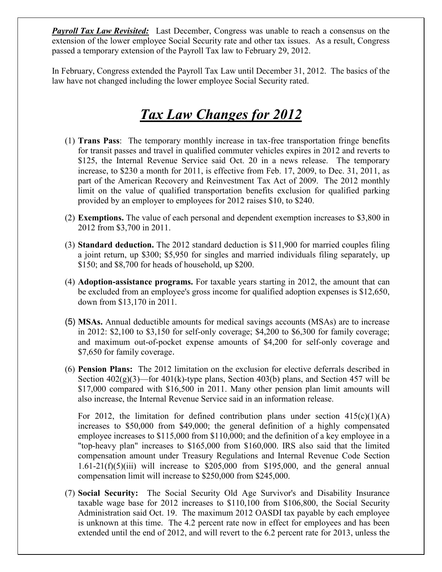**Payroll Tax Law Revisited:** Last December, Congress was unable to reach a consensus on the extension of the lower employee Social Security rate and other tax issues. As a result, Congress passed a temporary extension of the Payroll Tax law to February 29, 2012.

In February, Congress extended the Payroll Tax Law until December 31, 2012. The basics of the law have not changed including the lower employee Social Security rated.

## *Tax Law Changes for 2012*

- (1) **Trans Pass**: The temporary monthly increase in tax-free transportation fringe benefits for transit passes and travel in qualified commuter vehicles expires in 2012 and reverts to \$125, the Internal Revenue Service said Oct. 20 in a news release. The temporary increase, to \$230 a month for 2011, is effective from Feb. 17, 2009, to Dec. 31, 2011, as part of the American Recovery and Reinvestment Tax Act of 2009. The 2012 monthly limit on the value of qualified transportation benefits exclusion for qualified parking provided by an employer to employees for 2012 raises \$10, to \$240.
- (2) **Exemptions.** The value of each personal and dependent exemption increases to \$3,800 in 2012 from \$3,700 in 2011.
- (3) **Standard deduction.** The 2012 standard deduction is \$11,900 for married couples filing a joint return, up \$300; \$5,950 for singles and married individuals filing separately, up \$150; and \$8,700 for heads of household, up \$200.
- (4) **Adoption-assistance programs.** For taxable years starting in 2012, the amount that can be excluded from an employee's gross income for qualified adoption expenses is \$12,650, down from \$13,170 in 2011.
- (5) **MSAs.** Annual deductible amounts for medical savings accounts (MSAs) are to increase in 2012: \$2,100 to \$3,150 for self-only coverage; \$4,200 to \$6,300 for family coverage; and maximum out-of-pocket expense amounts of \$4,200 for self-only coverage and \$7,650 for family coverage.
- (6) **Pension Plans:** The 2012 limitation on the exclusion for elective deferrals described in Section  $402(g)(3)$ —for  $401(k)$ -type plans, Section  $403(b)$  plans, and Section 457 will be \$17,000 compared with \$16,500 in 2011. Many other pension plan limit amounts will also increase, the Internal Revenue Service said in an information release.

For 2012, the limitation for defined contribution plans under section  $415(c)(1)(A)$ increases to \$50,000 from \$49,000; the general definition of a highly compensated employee increases to \$115,000 from \$110,000; and the definition of a key employee in a "top-heavy plan" increases to \$165,000 from \$160,000. IRS also said that the limited compensation amount under Treasury Regulations and Internal Revenue Code Section  $1.61-21(f)(5)(iii)$  will increase to \$205,000 from \$195,000, and the general annual compensation limit will increase to \$250,000 from \$245,000.

(7) **Social Security:** The Social Security Old Age Survivor's and Disability Insurance taxable wage base for 2012 increases to \$110,100 from \$106,800, the Social Security Administration said Oct. 19. The maximum 2012 OASDI tax payable by each employee is unknown at this time. The 4.2 percent rate now in effect for employees and has been extended until the end of 2012, and will revert to the 6.2 percent rate for 2013, unless the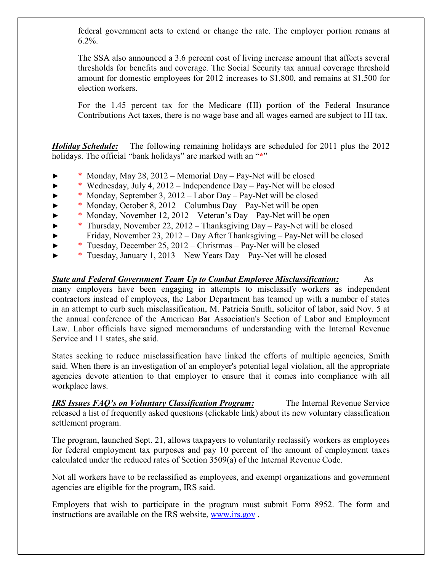federal government acts to extend or change the rate. The employer portion remans at 6.2%.

The SSA also announced a 3.6 percent cost of living increase amount that affects several thresholds for benefits and coverage. The Social Security tax annual coverage threshold amount for domestic employees for 2012 increases to \$1,800, and remains at \$1,500 for election workers.

For the 1.45 percent tax for the Medicare (HI) portion of the Federal Insurance Contributions Act taxes, there is no wage base and all wages earned are subject to HI tax.

*Holiday Schedule:* The following remaining holidays are scheduled for 2011 plus the 2012 holidays. The official "bank holidays" are marked with an "**\***"

- \* Monday, May 28, 2012 Memorial Day Pay-Net will be closed
- ► \* Wednesday, July 4, 2012 Independence Day Pay-Net will be closed
- ► \* Monday, September 3, 2012 Labor Day Pay-Net will be closed
- ► \* Monday, October 8, 2012 Columbus Day Pay-Net will be open
- ► \* Monday, November 12, 2012 Veteran's Day Pay-Net will be open
- ► \* Thursday, November 22, 2012 Thanksgiving Day Pay-Net will be closed
- ► Friday, November 23, 2012 Day After Thanksgiving Pay-Net will be closed
- ► \* Tuesday, December 25, 2012 Christmas Pay-Net will be closed
- ► \* Tuesday, January 1, 2013 New Years Day Pay-Net will be closed

## *State and Federal Government Team Up to Combat Employee Misclassification:* As

many employers have been engaging in attempts to misclassify workers as independent contractors instead of employees, the Labor Department has teamed up with a number of states in an attempt to curb such misclassification, M. Patricia Smith, solicitor of labor, said Nov. 5 at the annual conference of the American Bar Association's Section of Labor and Employment Law. Labor officials have signed memorandums of understanding with the Internal Revenue Service and 11 states, she said.

States seeking to reduce misclassification have linked the efforts of multiple agencies, Smith said. When there is an investigation of an employer's potential legal violation, all the appropriate agencies devote attention to that employer to ensure that it comes into compliance with all workplace laws.

*IRS Issues FAQ's on Voluntary Classification Program:* The Internal Revenue Service released a list of frequently asked questions (clickable link) about its new voluntary classification settlement program.

The program, launched Sept. 21, allows taxpayers to voluntarily reclassify workers as employees for federal employment tax purposes and pay 10 percent of the amount of employment taxes calculated under the reduced rates of Section 3509(a) of the Internal Revenue Code.

Not all workers have to be reclassified as employees, and exempt organizations and government agencies are eligible for the program, IRS said.

Employers that wish to participate in the program must submit Form 8952. The form and instructions are available on the IRS website, www.irs.gov .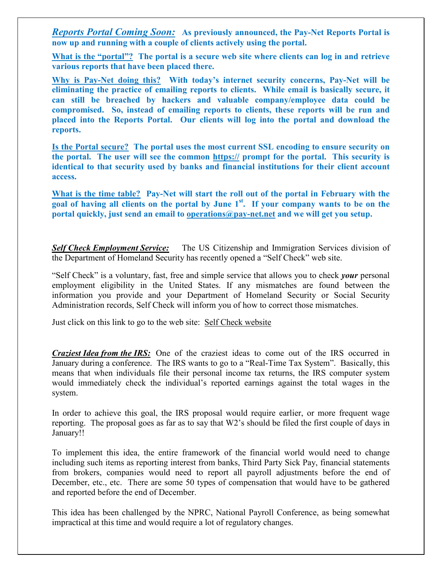*Reports Portal Coming Soon:* **As previously announced, the Pay-Net Reports Portal is now up and running with a couple of clients actively using the portal.** 

**What is the "portal"? The portal is a secure web site where clients can log in and retrieve various reports that have been placed there.** 

**Why is Pay-Net doing this? With today's internet security concerns, Pay-Net will be eliminating the practice of emailing reports to clients. While email is basically secure, it can still be breached by hackers and valuable company/employee data could be compromised. So, instead of emailing reports to clients, these reports will be run and placed into the Reports Portal. Our clients will log into the portal and download the reports.** 

**Is the Portal secure? The portal uses the most current SSL encoding to ensure security on the portal. The user will see the common https:// prompt for the portal. This security is identical to that security used by banks and financial institutions for their client account access.** 

**What is the time table? Pay-Net will start the roll out of the portal in February with the goal of having all clients on the portal by June 1st. If your company wants to be on the portal quickly, just send an email to operations@pay-net.net and we will get you setup.** 

*Self Check Employment Service:* The US Citizenship and Immigration Services division of the Department of Homeland Security has recently opened a "Self Check" web site.

"Self Check" is a voluntary, fast, free and simple service that allows you to check *your* personal employment eligibility in the United States. If any mismatches are found between the information you provide and your Department of Homeland Security or Social Security Administration records, Self Check will inform you of how to correct those mismatches.

Just click on this link to go to the web site: Self Check website

*Craziest Idea from the IRS:* One of the craziest ideas to come out of the IRS occurred in January during a conference. The IRS wants to go to a "Real-Time Tax System". Basically, this means that when individuals file their personal income tax returns, the IRS computer system would immediately check the individual's reported earnings against the total wages in the system.

In order to achieve this goal, the IRS proposal would require earlier, or more frequent wage reporting. The proposal goes as far as to say that W2's should be filed the first couple of days in January!!

To implement this idea, the entire framework of the financial world would need to change including such items as reporting interest from banks, Third Party Sick Pay, financial statements from brokers, companies would need to report all payroll adjustments before the end of December, etc., etc. There are some 50 types of compensation that would have to be gathered and reported before the end of December.

This idea has been challenged by the NPRC, National Payroll Conference, as being somewhat impractical at this time and would require a lot of regulatory changes.